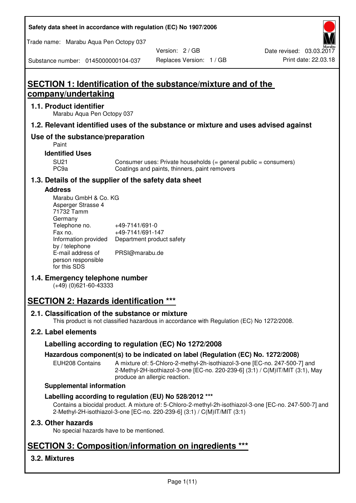**Safety data sheet in accordance with regulation (EC) No 1907/2006** 

Trade name: Marabu Aqua Pen Octopy 037

Version: 2 / GB

Substance number: 0145000000104-037

# **SECTION 1: Identification of the substance/mixture and of the company/undertaking**

## **1.1. Product identifier**

Marabu Aqua Pen Octopy 037

## **1.2. Relevant identified uses of the substance or mixture and uses advised against**

## **Use of the substance/preparation**

Paint

## **Identified Uses**

SU21 Consumer uses: Private households (= general public = consumers)<br>PC9a Coatings and paints, thinners, paint removers Coatings and paints, thinners, paint removers

## **1.3. Details of the supplier of the safety data sheet**

#### **Address**

| Marabu GmbH & Co. KG |                           |
|----------------------|---------------------------|
| Asperger Strasse 4   |                           |
| 71732 Tamm           |                           |
| Germany              |                           |
| Telephone no.        | +49-7141/691-0            |
| Fax no.              | +49-7141/691-147          |
| Information provided | Department product safety |
| by / telephone       |                           |
| E-mail address of    | PRSI@marabu.de            |
| person responsible   |                           |
| for this SDS         |                           |

## **1.4. Emergency telephone number**

(+49) (0)621-60-43333

# **SECTION 2: Hazards identification \*\*\***

## **2.1. Classification of the substance or mixture**

This product is not classified hazardous in accordance with Regulation (EC) No 1272/2008.

## **2.2. Label elements**

## **Labelling according to regulation (EC) No 1272/2008**

## **Hazardous component(s) to be indicated on label (Regulation (EC) No. 1272/2008)**

EUH208 Contains A mixture of: 5-Chloro-2-methyl-2h-isothiazol-3-one [EC-no. 247-500-7] and 2-Methyl-2H-isothiazol-3-one [EC-no. 220-239-6] (3:1) / C(M)IT/MIT (3:1), May produce an allergic reaction.

#### **Supplemental information**

## **Labelling according to regulation (EU) No 528/2012 \*\*\***

Contains a biocidal product. A mixture of: 5-Chloro-2-methyl-2h-isothiazol-3-one [EC-no. 247-500-7] and 2-Methyl-2H-isothiazol-3-one [EC-no. 220-239-6] (3:1) / C(M)IT/MIT (3:1)

## **2.3. Other hazards**

No special hazards have to be mentioned.

# **SECTION 3: Composition/information on ingredients \*\*\***

## **3.2. Mixtures**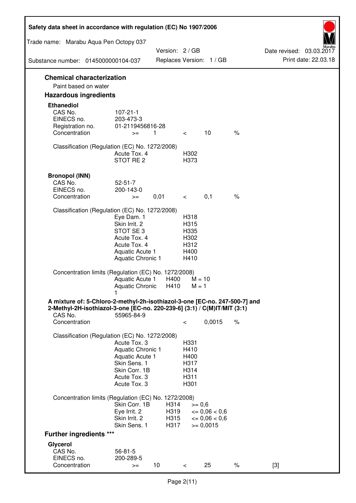| Safety data sheet in accordance with regulation (EC) No 1907/2006                                                                                                 |                                                                                                                         |                      |                                                      |                                                                  |      |                                                  |
|-------------------------------------------------------------------------------------------------------------------------------------------------------------------|-------------------------------------------------------------------------------------------------------------------------|----------------------|------------------------------------------------------|------------------------------------------------------------------|------|--------------------------------------------------|
| Trade name: Marabu Aqua Pen Octopy 037                                                                                                                            |                                                                                                                         |                      |                                                      |                                                                  |      |                                                  |
| Substance number: 0145000000104-037                                                                                                                               |                                                                                                                         | Version: 2 / GB      |                                                      | Replaces Version: 1 / GB                                         |      | Date revised: 03.03.2017<br>Print date: 22.03.18 |
| <b>Chemical characterization</b>                                                                                                                                  |                                                                                                                         |                      |                                                      |                                                                  |      |                                                  |
| Paint based on water                                                                                                                                              |                                                                                                                         |                      |                                                      |                                                                  |      |                                                  |
| <b>Hazardous ingredients</b>                                                                                                                                      |                                                                                                                         |                      |                                                      |                                                                  |      |                                                  |
| <b>Ethanediol</b><br>CAS No.<br>EINECS no.<br>Registration no.<br>Concentration                                                                                   | $107 - 21 - 1$<br>203-473-3<br>01-2119456816-28<br>$>=$                                                                 | 1                    | $\lt$                                                | 10                                                               | $\%$ |                                                  |
| Classification (Regulation (EC) No. 1272/2008)                                                                                                                    | Acute Tox. 4<br>STOT RE 2                                                                                               |                      | H302<br>H373                                         |                                                                  |      |                                                  |
| <b>Bronopol (INN)</b><br>CAS No.<br>EINECS no.<br>Concentration                                                                                                   | $52 - 51 - 7$<br>200-143-0<br>$>=$                                                                                      | 0,01                 | $\lt$ $\lt$                                          | 0,1                                                              | $\%$ |                                                  |
| Classification (Regulation (EC) No. 1272/2008)                                                                                                                    |                                                                                                                         |                      |                                                      |                                                                  |      |                                                  |
|                                                                                                                                                                   | Eye Dam. 1<br>Skin Irrit. 2<br>STOT SE 3<br>Acute Tox. 4<br>Acute Tox. 4<br>Aquatic Acute 1<br><b>Aquatic Chronic 1</b> |                      | H318<br>H315<br>H335<br>H302<br>H312<br>H400<br>H410 |                                                                  |      |                                                  |
| Concentration limits (Regulation (EC) No. 1272/2008)                                                                                                              | Aquatic Acute 1<br>Aquatic Chronic H410                                                                                 | H400                 | $M = 1$                                              | $M = 10$                                                         |      |                                                  |
| A mixture of: 5-Chloro-2-methyl-2h-isothiazol-3-one [EC-no. 247-500-7] and<br>2-Methyl-2H-isothiazol-3-one [EC-no. 220-239-6] (3:1) / C(M)IT/MIT (3:1)<br>CAS No. | 55965-84-9                                                                                                              |                      |                                                      |                                                                  |      |                                                  |
| Concentration                                                                                                                                                     |                                                                                                                         |                      | $\,<\,$                                              | 0,0015                                                           | $\%$ |                                                  |
| Classification (Regulation (EC) No. 1272/2008)                                                                                                                    | Acute Tox. 3<br>Aquatic Chronic 1<br>Aquatic Acute 1<br>Skin Sens. 1<br>Skin Corr. 1B<br>Acute Tox. 3<br>Acute Tox. 3   |                      | H331<br>H410<br>H400<br>H317<br>H314<br>H311<br>H301 |                                                                  |      |                                                  |
| Concentration limits (Regulation (EC) No. 1272/2008)                                                                                                              | Skin Corr. 1B                                                                                                           | H314                 | $>= 0,6$                                             |                                                                  |      |                                                  |
|                                                                                                                                                                   | Eye Irrit. 2<br>Skin Irrit. 2<br>Skin Sens. 1                                                                           | H319<br>H315<br>H317 |                                                      | $\epsilon = 0.06 < 0.6$<br>$\epsilon = 0.06 < 0.6$<br>$= 0,0015$ |      |                                                  |
| <b>Further ingredients ***</b>                                                                                                                                    |                                                                                                                         |                      |                                                      |                                                                  |      |                                                  |
| Glycerol                                                                                                                                                          |                                                                                                                         |                      |                                                      |                                                                  |      |                                                  |
| CAS No.<br>EINECS no.                                                                                                                                             | $56 - 81 - 5$<br>200-289-5                                                                                              |                      |                                                      |                                                                  |      |                                                  |
| Concentration                                                                                                                                                     | $>=$                                                                                                                    | 10 <sup>°</sup>      | $\,<\,$                                              | 25                                                               | $\%$ | $[3]$                                            |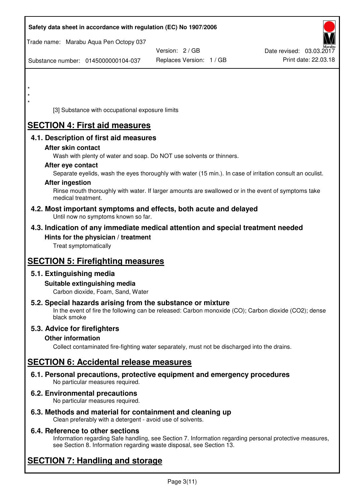| Safety data sheet in accordance with regulation (EC) No 1907/2006                                                                                                                  |                          |                                                  |
|------------------------------------------------------------------------------------------------------------------------------------------------------------------------------------|--------------------------|--------------------------------------------------|
| Trade name: Marabu Aqua Pen Octopy 037                                                                                                                                             |                          |                                                  |
|                                                                                                                                                                                    | Version: 2/GB            | Date revised: 03.03.2017<br>Print date: 22.03.18 |
| Substance number: 0145000000104-037                                                                                                                                                | Replaces Version: 1 / GB |                                                  |
|                                                                                                                                                                                    |                          |                                                  |
|                                                                                                                                                                                    |                          |                                                  |
| $\star$                                                                                                                                                                            |                          |                                                  |
| [3] Substance with occupational exposure limits                                                                                                                                    |                          |                                                  |
| <b>SECTION 4: First aid measures</b>                                                                                                                                               |                          |                                                  |
| 4.1. Description of first aid measures                                                                                                                                             |                          |                                                  |
| After skin contact                                                                                                                                                                 |                          |                                                  |
| Wash with plenty of water and soap. Do NOT use solvents or thinners.                                                                                                               |                          |                                                  |
| After eye contact                                                                                                                                                                  |                          |                                                  |
| Separate eyelids, wash the eyes thoroughly with water (15 min.). In case of irritation consult an oculist.<br><b>After ingestion</b>                                               |                          |                                                  |
| Rinse mouth thoroughly with water. If larger amounts are swallowed or in the event of symptoms take<br>medical treatment.                                                          |                          |                                                  |
| 4.2. Most important symptoms and effects, both acute and delayed<br>Until now no symptoms known so far.                                                                            |                          |                                                  |
| 4.3. Indication of any immediate medical attention and special treatment needed                                                                                                    |                          |                                                  |
| Hints for the physician / treatment<br>Treat symptomatically                                                                                                                       |                          |                                                  |
| <b>SECTION 5: Firefighting measures</b>                                                                                                                                            |                          |                                                  |
| 5.1. Extinguishing media                                                                                                                                                           |                          |                                                  |
| Suitable extinguishing media<br>Carbon dioxide, Foam, Sand, Water                                                                                                                  |                          |                                                  |
| 5.2. Special hazards arising from the substance or mixture<br>In the event of fire the following can be released: Carbon monoxide (CO); Carbon dioxide (CO2); dense<br>black smoke |                          |                                                  |
| 5.3. Advice for firefighters                                                                                                                                                       |                          |                                                  |
| <b>Other information</b>                                                                                                                                                           |                          |                                                  |
| Collect contaminated fire-fighting water separately, must not be discharged into the drains.                                                                                       |                          |                                                  |
| <b>SECTION 6: Accidental release measures</b>                                                                                                                                      |                          |                                                  |
| 6.1. Personal precautions, protective equipment and emergency procedures<br>No particular measures required.                                                                       |                          |                                                  |
| 6.2. Environmental precautions<br>No particular measures required.                                                                                                                 |                          |                                                  |
|                                                                                                                                                                                    |                          |                                                  |

**6.3. Methods and material for containment and cleaning up**  Clean preferably with a detergent - avoid use of solvents.

## **6.4. Reference to other sections**

Information regarding Safe handling, see Section 7. Information regarding personal protective measures, see Section 8. Information regarding waste disposal, see Section 13.

# **SECTION 7: Handling and storage**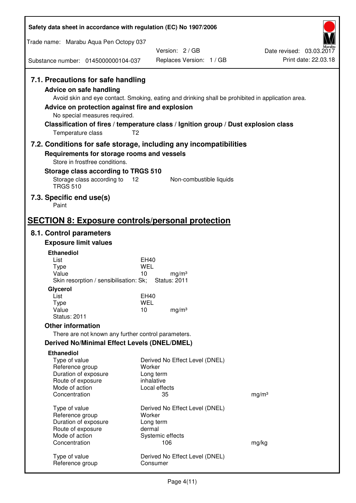| Safety data sheet in accordance with regulation (EC) No 1907/2006                                                                                                                               |                                                                                                                                                                                          |                                                  |
|-------------------------------------------------------------------------------------------------------------------------------------------------------------------------------------------------|------------------------------------------------------------------------------------------------------------------------------------------------------------------------------------------|--------------------------------------------------|
| Trade name: Marabu Aqua Pen Octopy 037                                                                                                                                                          |                                                                                                                                                                                          |                                                  |
| Substance number: 0145000000104-037                                                                                                                                                             | Version: 2/GB<br>Replaces Version: 1 / GB                                                                                                                                                | Date revised: 03.03.2017<br>Print date: 22.03.18 |
| 7.1. Precautions for safe handling<br><b>Advice on safe handling</b><br>Advice on protection against fire and explosion<br>No special measures required.<br>T <sub>2</sub><br>Temperature class | Avoid skin and eye contact. Smoking, eating and drinking shall be prohibited in application area.<br>Classification of fires / temperature class / Ignition group / Dust explosion class |                                                  |
| Requirements for storage rooms and vessels                                                                                                                                                      | 7.2. Conditions for safe storage, including any incompatibilities                                                                                                                        |                                                  |
| Store in frostfree conditions.                                                                                                                                                                  |                                                                                                                                                                                          |                                                  |
| Storage class according to TRGS 510<br>Storage class according to<br>$12 \overline{ }$<br><b>TRGS 510</b>                                                                                       | Non-combustible liquids                                                                                                                                                                  |                                                  |
| 7.3. Specific end use(s)<br>Paint                                                                                                                                                               |                                                                                                                                                                                          |                                                  |
| <b>SECTION 8: Exposure controls/personal protection</b>                                                                                                                                         |                                                                                                                                                                                          |                                                  |
| 8.1. Control parameters                                                                                                                                                                         |                                                                                                                                                                                          |                                                  |
| <b>Exposure limit values</b>                                                                                                                                                                    |                                                                                                                                                                                          |                                                  |
| <b>Ethanediol</b>                                                                                                                                                                               |                                                                                                                                                                                          |                                                  |
| List<br>Type                                                                                                                                                                                    | EH40<br><b>WEL</b>                                                                                                                                                                       |                                                  |
| Value<br>Skin resorption / sensibilisation: Sk;                                                                                                                                                 | 10<br>mg/m <sup>3</sup><br><b>Status: 2011</b>                                                                                                                                           |                                                  |
| Glycerol                                                                                                                                                                                        |                                                                                                                                                                                          |                                                  |
| List                                                                                                                                                                                            | EH40                                                                                                                                                                                     |                                                  |
| <b>Type</b><br>Value                                                                                                                                                                            | <b>WEL</b><br>10<br>mg/m <sup>3</sup>                                                                                                                                                    |                                                  |
| <b>Status: 2011</b>                                                                                                                                                                             |                                                                                                                                                                                          |                                                  |
| <b>Other information</b>                                                                                                                                                                        |                                                                                                                                                                                          |                                                  |
| There are not known any further control parameters.                                                                                                                                             |                                                                                                                                                                                          |                                                  |
| <b>Derived No/Minimal Effect Levels (DNEL/DMEL)</b>                                                                                                                                             |                                                                                                                                                                                          |                                                  |
| <b>Ethanediol</b><br>Type of value<br>Reference group<br>Duration of exposure<br>Route of exposure<br>Mode of action                                                                            | Derived No Effect Level (DNEL)<br>Worker<br>Long term<br>inhalative<br>Local effects                                                                                                     |                                                  |
| Concentration                                                                                                                                                                                   | 35                                                                                                                                                                                       | mg/m <sup>3</sup>                                |
| Type of value<br>Reference group<br>Duration of exposure<br>Route of exposure                                                                                                                   | Derived No Effect Level (DNEL)<br>Worker<br>Long term<br>dermal                                                                                                                          |                                                  |
| Mode of action<br>Concentration                                                                                                                                                                 | Systemic effects<br>106                                                                                                                                                                  | mg/kg                                            |
| Type of value<br>Reference group                                                                                                                                                                | Derived No Effect Level (DNEL)<br>Consumer                                                                                                                                               |                                                  |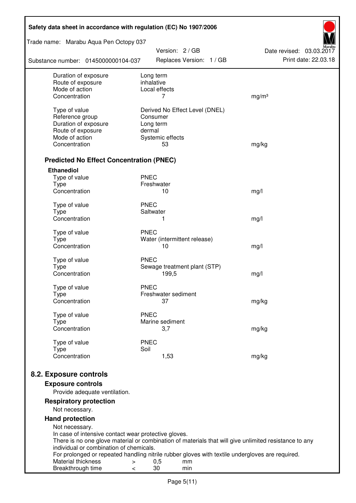| Safety data sheet in accordance with regulation (EC) No 1907/2006 |                                                                                                       |                                                  |  |  |  |
|-------------------------------------------------------------------|-------------------------------------------------------------------------------------------------------|--------------------------------------------------|--|--|--|
| Trade name: Marabu Aqua Pen Octopy 037                            | Version: 2 / GB                                                                                       |                                                  |  |  |  |
| Substance number: 0145000000104-037                               | Replaces Version: 1 / GB                                                                              | Date revised: 03.03.2017<br>Print date: 22.03.18 |  |  |  |
| Duration of exposure<br>Route of exposure                         | Long term<br>inhalative                                                                               |                                                  |  |  |  |
| Mode of action                                                    | Local effects                                                                                         |                                                  |  |  |  |
| Concentration                                                     | 7                                                                                                     | mg/m <sup>3</sup>                                |  |  |  |
| Type of value                                                     | Derived No Effect Level (DNEL)                                                                        |                                                  |  |  |  |
| Reference group                                                   | Consumer                                                                                              |                                                  |  |  |  |
| Duration of exposure                                              | Long term                                                                                             |                                                  |  |  |  |
| Route of exposure                                                 | dermal                                                                                                |                                                  |  |  |  |
| Mode of action                                                    | Systemic effects                                                                                      |                                                  |  |  |  |
| Concentration                                                     | 53                                                                                                    | mg/kg                                            |  |  |  |
| <b>Predicted No Effect Concentration (PNEC)</b>                   |                                                                                                       |                                                  |  |  |  |
| <b>Ethanediol</b>                                                 |                                                                                                       |                                                  |  |  |  |
| Type of value                                                     | <b>PNEC</b>                                                                                           |                                                  |  |  |  |
| <b>Type</b>                                                       | Freshwater                                                                                            |                                                  |  |  |  |
| Concentration                                                     | 10                                                                                                    | mg/l                                             |  |  |  |
| Type of value                                                     | <b>PNEC</b>                                                                                           |                                                  |  |  |  |
| <b>Type</b>                                                       | Saltwater                                                                                             |                                                  |  |  |  |
| Concentration                                                     | 1                                                                                                     | mg/l                                             |  |  |  |
| Type of value                                                     | <b>PNEC</b>                                                                                           |                                                  |  |  |  |
| <b>Type</b>                                                       | Water (intermittent release)                                                                          |                                                  |  |  |  |
| Concentration                                                     | 10                                                                                                    | mg/l                                             |  |  |  |
| Type of value                                                     | <b>PNEC</b>                                                                                           |                                                  |  |  |  |
| <b>Type</b>                                                       | Sewage treatment plant (STP)                                                                          |                                                  |  |  |  |
| Concentration                                                     | 199,5                                                                                                 | mg/l                                             |  |  |  |
| Type of value                                                     | <b>PNEC</b>                                                                                           |                                                  |  |  |  |
| Type                                                              | Freshwater sediment                                                                                   |                                                  |  |  |  |
| Concentration                                                     | 37                                                                                                    | mg/kg                                            |  |  |  |
| Type of value                                                     | <b>PNEC</b>                                                                                           |                                                  |  |  |  |
| Type                                                              | Marine sediment                                                                                       |                                                  |  |  |  |
| Concentration                                                     | 3,7                                                                                                   | mg/kg                                            |  |  |  |
| Type of value                                                     | <b>PNEC</b>                                                                                           |                                                  |  |  |  |
| <b>Type</b>                                                       | Soil                                                                                                  |                                                  |  |  |  |
| Concentration                                                     | 1,53                                                                                                  | mg/kg                                            |  |  |  |
| 8.2. Exposure controls                                            |                                                                                                       |                                                  |  |  |  |
| <b>Exposure controls</b>                                          |                                                                                                       |                                                  |  |  |  |
| Provide adequate ventilation.                                     |                                                                                                       |                                                  |  |  |  |
| <b>Respiratory protection</b>                                     |                                                                                                       |                                                  |  |  |  |
| Not necessary.                                                    |                                                                                                       |                                                  |  |  |  |
| <b>Hand protection</b>                                            |                                                                                                       |                                                  |  |  |  |
| Not necessary.                                                    |                                                                                                       |                                                  |  |  |  |
| In case of intensive contact wear protective gloves.              |                                                                                                       |                                                  |  |  |  |
| individual or combination of chemicals.                           | There is no one glove material or combination of materials that will give unlimited resistance to any |                                                  |  |  |  |
|                                                                   | For prolonged or repeated handling nitrile rubber gloves with textile undergloves are required.       |                                                  |  |  |  |
| Material thickness<br>$\, > \,$                                   | 0,5<br>mm                                                                                             |                                                  |  |  |  |
| Breakthrough time<br>$\,<\,$                                      | 30<br>min                                                                                             |                                                  |  |  |  |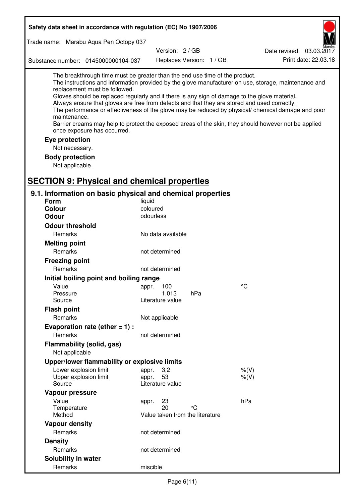| Safety data sheet in accordance with regulation (EC) No 1907/2006                                                                                                                                                                                                                                                                                                                                |                                 |                          |     |                                                                                                                                                                                                                                                                                                                    |
|--------------------------------------------------------------------------------------------------------------------------------------------------------------------------------------------------------------------------------------------------------------------------------------------------------------------------------------------------------------------------------------------------|---------------------------------|--------------------------|-----|--------------------------------------------------------------------------------------------------------------------------------------------------------------------------------------------------------------------------------------------------------------------------------------------------------------------|
| Trade name: Marabu Aqua Pen Octopy 037                                                                                                                                                                                                                                                                                                                                                           |                                 |                          |     |                                                                                                                                                                                                                                                                                                                    |
|                                                                                                                                                                                                                                                                                                                                                                                                  |                                 | Version: 2 / GB          |     | Date revised: 03.03.2017                                                                                                                                                                                                                                                                                           |
| Substance number: 0145000000104-037                                                                                                                                                                                                                                                                                                                                                              |                                 | Replaces Version: 1 / GB |     | Print date: 22.03.18                                                                                                                                                                                                                                                                                               |
| The breakthrough time must be greater than the end use time of the product.<br>replacement must be followed.<br>Gloves should be replaced regularly and if there is any sign of damage to the glove material.<br>Always ensure that gloves are free from defects and that they are stored and used correctly.<br>maintenance.<br>once exposure has occurred.<br>Eye protection<br>Not necessary. |                                 |                          |     | The instructions and information provided by the glove manufacturer on use, storage, maintenance and<br>The performance or effectiveness of the glove may be reduced by physical/ chemical damage and poor<br>Barrier creams may help to protect the exposed areas of the skin, they should however not be applied |
| <b>Body protection</b>                                                                                                                                                                                                                                                                                                                                                                           |                                 |                          |     |                                                                                                                                                                                                                                                                                                                    |
| Not applicable.                                                                                                                                                                                                                                                                                                                                                                                  |                                 |                          |     |                                                                                                                                                                                                                                                                                                                    |
| <b>SECTION 9: Physical and chemical properties</b>                                                                                                                                                                                                                                                                                                                                               |                                 |                          |     |                                                                                                                                                                                                                                                                                                                    |
|                                                                                                                                                                                                                                                                                                                                                                                                  |                                 |                          |     |                                                                                                                                                                                                                                                                                                                    |
| 9.1. Information on basic physical and chemical properties<br><b>Form</b>                                                                                                                                                                                                                                                                                                                        | liquid                          |                          |     |                                                                                                                                                                                                                                                                                                                    |
| <b>Colour</b>                                                                                                                                                                                                                                                                                                                                                                                    | coloured                        |                          |     |                                                                                                                                                                                                                                                                                                                    |
| <b>Odour</b>                                                                                                                                                                                                                                                                                                                                                                                     | odourless                       |                          |     |                                                                                                                                                                                                                                                                                                                    |
| <b>Odour threshold</b>                                                                                                                                                                                                                                                                                                                                                                           |                                 |                          |     |                                                                                                                                                                                                                                                                                                                    |
| Remarks                                                                                                                                                                                                                                                                                                                                                                                          | No data available               |                          |     |                                                                                                                                                                                                                                                                                                                    |
| <b>Melting point</b>                                                                                                                                                                                                                                                                                                                                                                             |                                 |                          |     |                                                                                                                                                                                                                                                                                                                    |
| Remarks                                                                                                                                                                                                                                                                                                                                                                                          | not determined                  |                          |     |                                                                                                                                                                                                                                                                                                                    |
| <b>Freezing point</b>                                                                                                                                                                                                                                                                                                                                                                            |                                 |                          |     |                                                                                                                                                                                                                                                                                                                    |
| Remarks                                                                                                                                                                                                                                                                                                                                                                                          | not determined                  |                          |     |                                                                                                                                                                                                                                                                                                                    |
| Initial boiling point and boiling range                                                                                                                                                                                                                                                                                                                                                          |                                 |                          |     |                                                                                                                                                                                                                                                                                                                    |
| Value                                                                                                                                                                                                                                                                                                                                                                                            | appr. 100                       |                          |     | $\rm ^{\circ}C$                                                                                                                                                                                                                                                                                                    |
| Pressure                                                                                                                                                                                                                                                                                                                                                                                         |                                 | 1.013                    | hPa |                                                                                                                                                                                                                                                                                                                    |
| Source                                                                                                                                                                                                                                                                                                                                                                                           | Literature value                |                          |     |                                                                                                                                                                                                                                                                                                                    |
| <b>Flash point</b>                                                                                                                                                                                                                                                                                                                                                                               |                                 |                          |     |                                                                                                                                                                                                                                                                                                                    |
| Remarks                                                                                                                                                                                                                                                                                                                                                                                          | Not applicable                  |                          |     |                                                                                                                                                                                                                                                                                                                    |
| Evaporation rate (ether $= 1$ ) :                                                                                                                                                                                                                                                                                                                                                                |                                 |                          |     |                                                                                                                                                                                                                                                                                                                    |
| Remarks                                                                                                                                                                                                                                                                                                                                                                                          | not determined                  |                          |     |                                                                                                                                                                                                                                                                                                                    |
| Flammability (solid, gas)                                                                                                                                                                                                                                                                                                                                                                        |                                 |                          |     |                                                                                                                                                                                                                                                                                                                    |
| Not applicable                                                                                                                                                                                                                                                                                                                                                                                   |                                 |                          |     |                                                                                                                                                                                                                                                                                                                    |
| Upper/lower flammability or explosive limits                                                                                                                                                                                                                                                                                                                                                     |                                 |                          |     |                                                                                                                                                                                                                                                                                                                    |
| Lower explosion limit                                                                                                                                                                                                                                                                                                                                                                            | 3,2<br>appr.                    |                          |     | $%$ $(V)$                                                                                                                                                                                                                                                                                                          |
| Upper explosion limit<br>Source                                                                                                                                                                                                                                                                                                                                                                  | 53<br>appr.<br>Literature value |                          |     | $%$ (V)                                                                                                                                                                                                                                                                                                            |
| Vapour pressure                                                                                                                                                                                                                                                                                                                                                                                  |                                 |                          |     |                                                                                                                                                                                                                                                                                                                    |
| Value                                                                                                                                                                                                                                                                                                                                                                                            | 23<br>appr.                     |                          |     | hPa                                                                                                                                                                                                                                                                                                                |
| Temperature                                                                                                                                                                                                                                                                                                                                                                                      | 20                              |                          | °C  |                                                                                                                                                                                                                                                                                                                    |
| Method                                                                                                                                                                                                                                                                                                                                                                                           | Value taken from the literature |                          |     |                                                                                                                                                                                                                                                                                                                    |
| <b>Vapour density</b>                                                                                                                                                                                                                                                                                                                                                                            |                                 |                          |     |                                                                                                                                                                                                                                                                                                                    |
| Remarks                                                                                                                                                                                                                                                                                                                                                                                          | not determined                  |                          |     |                                                                                                                                                                                                                                                                                                                    |
| <b>Density</b>                                                                                                                                                                                                                                                                                                                                                                                   |                                 |                          |     |                                                                                                                                                                                                                                                                                                                    |
| Remarks                                                                                                                                                                                                                                                                                                                                                                                          | not determined                  |                          |     |                                                                                                                                                                                                                                                                                                                    |
| Solubility in water                                                                                                                                                                                                                                                                                                                                                                              |                                 |                          |     |                                                                                                                                                                                                                                                                                                                    |
| Remarks                                                                                                                                                                                                                                                                                                                                                                                          | miscible                        |                          |     |                                                                                                                                                                                                                                                                                                                    |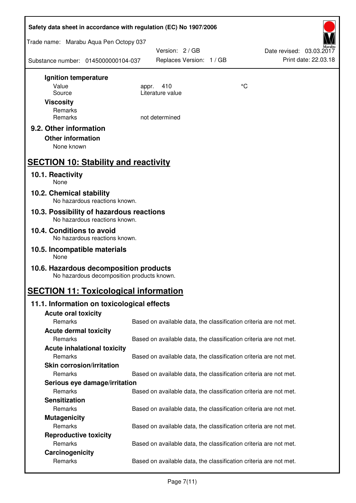| Safety data sheet in accordance with regulation (EC) No 1907/2006                    |       |                                                                   |    |                                                  |  |
|--------------------------------------------------------------------------------------|-------|-------------------------------------------------------------------|----|--------------------------------------------------|--|
| Trade name: Marabu Aqua Pen Octopy 037                                               |       |                                                                   |    |                                                  |  |
| Substance number: 0145000000104-037                                                  |       | Version: 2 / GB<br>Replaces Version: 1 / GB                       |    | Date revised: 03.03.2017<br>Print date: 22.03.18 |  |
| Ignition temperature                                                                 |       |                                                                   |    |                                                  |  |
| Value                                                                                | appr. | 410<br>Literature value                                           | °C |                                                  |  |
| Source<br><b>Viscosity</b>                                                           |       |                                                                   |    |                                                  |  |
| Remarks                                                                              |       |                                                                   |    |                                                  |  |
| Remarks                                                                              |       | not determined                                                    |    |                                                  |  |
| 9.2. Other information                                                               |       |                                                                   |    |                                                  |  |
| <b>Other information</b>                                                             |       |                                                                   |    |                                                  |  |
| None known                                                                           |       |                                                                   |    |                                                  |  |
| <b>SECTION 10: Stability and reactivity</b>                                          |       |                                                                   |    |                                                  |  |
| 10.1. Reactivity<br>None                                                             |       |                                                                   |    |                                                  |  |
| 10.2. Chemical stability<br>No hazardous reactions known.                            |       |                                                                   |    |                                                  |  |
| 10.3. Possibility of hazardous reactions                                             |       |                                                                   |    |                                                  |  |
| No hazardous reactions known.                                                        |       |                                                                   |    |                                                  |  |
| 10.4. Conditions to avoid<br>No hazardous reactions known.                           |       |                                                                   |    |                                                  |  |
| 10.5. Incompatible materials<br>None                                                 |       |                                                                   |    |                                                  |  |
| 10.6. Hazardous decomposition products<br>No hazardous decomposition products known. |       |                                                                   |    |                                                  |  |
| <b>SECTION 11: Toxicological information</b>                                         |       |                                                                   |    |                                                  |  |
| 11.1. Information on toxicological effects                                           |       |                                                                   |    |                                                  |  |
| <b>Acute oral toxicity</b>                                                           |       |                                                                   |    |                                                  |  |
| Remarks                                                                              |       | Based on available data, the classification criteria are not met. |    |                                                  |  |
| <b>Acute dermal toxicity</b><br>Remarks                                              |       | Based on available data, the classification criteria are not met. |    |                                                  |  |
| <b>Acute inhalational toxicity</b>                                                   |       |                                                                   |    |                                                  |  |
| Remarks                                                                              |       | Based on available data, the classification criteria are not met. |    |                                                  |  |
| <b>Skin corrosion/irritation</b>                                                     |       |                                                                   |    |                                                  |  |
| Remarks                                                                              |       | Based on available data, the classification criteria are not met. |    |                                                  |  |
| Serious eye damage/irritation                                                        |       |                                                                   |    |                                                  |  |
| Remarks                                                                              |       | Based on available data, the classification criteria are not met. |    |                                                  |  |
| <b>Sensitization</b>                                                                 |       |                                                                   |    |                                                  |  |
| Remarks                                                                              |       | Based on available data, the classification criteria are not met. |    |                                                  |  |
| <b>Mutagenicity</b><br>Remarks                                                       |       | Based on available data, the classification criteria are not met. |    |                                                  |  |
| <b>Reproductive toxicity</b>                                                         |       |                                                                   |    |                                                  |  |
| Remarks                                                                              |       | Based on available data, the classification criteria are not met. |    |                                                  |  |
| Carcinogenicity                                                                      |       |                                                                   |    |                                                  |  |
| Remarks                                                                              |       | Based on available data, the classification criteria are not met. |    |                                                  |  |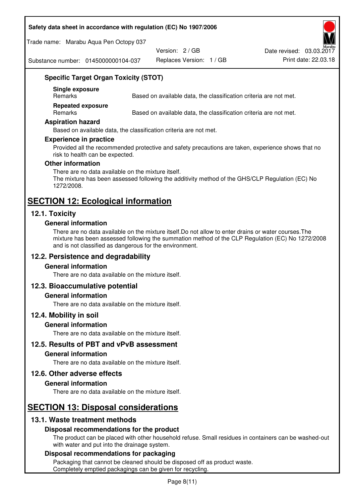#### **Safety data sheet in accordance with regulation (EC) No 1907/2006**

Trade name: Marabu Aqua Pen Octopy 037

Version: 2 / GB

Replaces Version: 1 / GB Print date: 22.03.18 Date revised: 03.03.2017

Substance number: 0145000000104-037

## **Specific Target Organ Toxicity (STOT)**

**Single exposure** 

Based on available data, the classification criteria are not met.

**Repeated exposure** 

Remarks Based on available data, the classification criteria are not met.

#### **Aspiration hazard**

Based on available data, the classification criteria are not met.

#### **Experience in practice**

Provided all the recommended protective and safety precautions are taken, experience shows that no risk to health can be expected.

#### **Other information**

There are no data available on the mixture itself. The mixture has been assessed following the additivity method of the GHS/CLP Regulation (EC) No 1272/2008.

# **SECTION 12: Ecological information**

## **12.1. Toxicity**

#### **General information**

There are no data available on the mixture itself.Do not allow to enter drains or water courses.The mixture has been assessed following the summation method of the CLP Regulation (EC) No 1272/2008 and is not classified as dangerous for the environment.

## **12.2. Persistence and degradability**

#### **General information**

There are no data available on the mixture itself.

#### **12.3. Bioaccumulative potential**

#### **General information**

There are no data available on the mixture itself.

#### **12.4. Mobility in soil**

#### **General information**

There are no data available on the mixture itself.

**12.5. Results of PBT and vPvB assessment** 

#### **General information**

There are no data available on the mixture itself.

#### **12.6. Other adverse effects**

#### **General information**

There are no data available on the mixture itself.

## **SECTION 13: Disposal considerations**

## **13.1. Waste treatment methods**

#### **Disposal recommendations for the product**

The product can be placed with other household refuse. Small residues in containers can be washed-out with water and put into the drainage system.

#### **Disposal recommendations for packaging**

Packaging that cannot be cleaned should be disposed off as product waste. Completely emptied packagings can be given for recycling.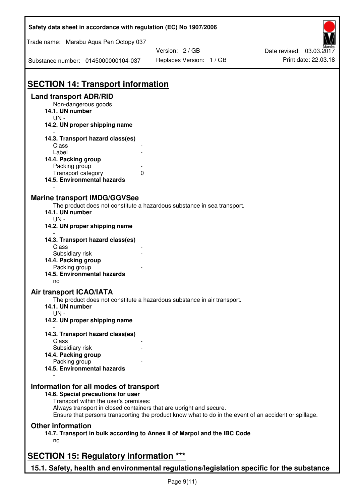| Safety data sheet in accordance with regulation (EC) No 1907/2006                                                                                                                           |                                                                                                       |                          |
|---------------------------------------------------------------------------------------------------------------------------------------------------------------------------------------------|-------------------------------------------------------------------------------------------------------|--------------------------|
| Trade name: Marabu Aqua Pen Octopy 037                                                                                                                                                      |                                                                                                       |                          |
|                                                                                                                                                                                             | Version: 2 / GB                                                                                       | Date revised: 03.03.2017 |
| Substance number: 0145000000104-037                                                                                                                                                         | Replaces Version: 1 / GB                                                                              | Print date: 22.03.18     |
| <b>SECTION 14: Transport information</b>                                                                                                                                                    |                                                                                                       |                          |
| <b>Land transport ADR/RID</b>                                                                                                                                                               |                                                                                                       |                          |
| Non-dangerous goods<br>14.1. UN number                                                                                                                                                      |                                                                                                       |                          |
| $UN -$<br>14.2. UN proper shipping name                                                                                                                                                     |                                                                                                       |                          |
| 14.3. Transport hazard class(es)                                                                                                                                                            |                                                                                                       |                          |
| Class                                                                                                                                                                                       |                                                                                                       |                          |
| Label                                                                                                                                                                                       |                                                                                                       |                          |
| 14.4. Packing group<br>Packing group                                                                                                                                                        |                                                                                                       |                          |
| Transport category<br>0                                                                                                                                                                     |                                                                                                       |                          |
| 14.5. Environmental hazards                                                                                                                                                                 |                                                                                                       |                          |
| <b>Marine transport IMDG/GGVSee</b><br>14.1. UN number<br>$UN -$<br>14.2. UN proper shipping name                                                                                           | The product does not constitute a hazardous substance in sea transport.                               |                          |
| 14.3. Transport hazard class(es)                                                                                                                                                            |                                                                                                       |                          |
| Class                                                                                                                                                                                       |                                                                                                       |                          |
| Subsidiary risk                                                                                                                                                                             |                                                                                                       |                          |
| 14.4. Packing group<br>Packing group                                                                                                                                                        |                                                                                                       |                          |
| 14.5. Environmental hazards                                                                                                                                                                 |                                                                                                       |                          |
| no                                                                                                                                                                                          |                                                                                                       |                          |
| <b>Air transport ICAO/IATA</b>                                                                                                                                                              | The product does not constitute a hazardous substance in air transport.                               |                          |
| 14.1. UN number<br>$UN -$                                                                                                                                                                   |                                                                                                       |                          |
| 14.2. UN proper shipping name                                                                                                                                                               |                                                                                                       |                          |
| 14.3. Transport hazard class(es)                                                                                                                                                            |                                                                                                       |                          |
| Class                                                                                                                                                                                       |                                                                                                       |                          |
| Subsidiary risk                                                                                                                                                                             |                                                                                                       |                          |
| 14.4. Packing group<br>Packing group                                                                                                                                                        |                                                                                                       |                          |
| 14.5. Environmental hazards                                                                                                                                                                 |                                                                                                       |                          |
| Information for all modes of transport<br>14.6. Special precautions for user<br>Transport within the user's premises:<br>Always transport in closed containers that are upright and secure. | Ensure that persons transporting the product know what to do in the event of an accident or spillage. |                          |
| <b>Other information</b>                                                                                                                                                                    |                                                                                                       |                          |
| 14.7. Transport in bulk according to Annex II of Marpol and the IBC Code<br>no                                                                                                              |                                                                                                       |                          |
| <b>SECTION 15: Regulatory information ***</b>                                                                                                                                               |                                                                                                       |                          |
| 15.1. Safety, health and environmental regulations/legislation specific for the substance                                                                                                   |                                                                                                       |                          |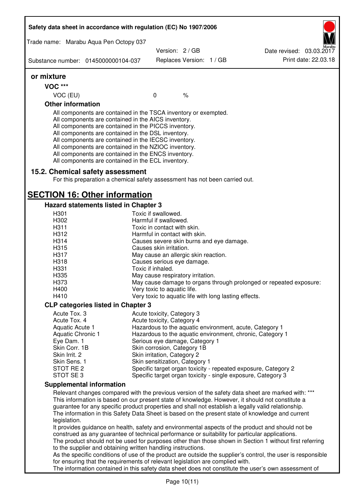|                                     | Safety data sheet in accordance with regulation (EC) No 1907/2006                                                                                                                                                                                                                                                                                                                                                                                                 |                                                                                      |      |                                                                                                                                                                                                                                                                                                                                                                                                                  |
|-------------------------------------|-------------------------------------------------------------------------------------------------------------------------------------------------------------------------------------------------------------------------------------------------------------------------------------------------------------------------------------------------------------------------------------------------------------------------------------------------------------------|--------------------------------------------------------------------------------------|------|------------------------------------------------------------------------------------------------------------------------------------------------------------------------------------------------------------------------------------------------------------------------------------------------------------------------------------------------------------------------------------------------------------------|
|                                     | Trade name: Marabu Aqua Pen Octopy 037                                                                                                                                                                                                                                                                                                                                                                                                                            |                                                                                      |      |                                                                                                                                                                                                                                                                                                                                                                                                                  |
|                                     |                                                                                                                                                                                                                                                                                                                                                                                                                                                                   | Version: 2 / GB                                                                      |      | Date revised: 03.03.2017                                                                                                                                                                                                                                                                                                                                                                                         |
| Substance number: 0145000000104-037 |                                                                                                                                                                                                                                                                                                                                                                                                                                                                   | Replaces Version: 1 / GB                                                             |      | Print date: 22.03.18                                                                                                                                                                                                                                                                                                                                                                                             |
| or mixture                          |                                                                                                                                                                                                                                                                                                                                                                                                                                                                   |                                                                                      |      |                                                                                                                                                                                                                                                                                                                                                                                                                  |
| <b>VOC ***</b>                      |                                                                                                                                                                                                                                                                                                                                                                                                                                                                   |                                                                                      |      |                                                                                                                                                                                                                                                                                                                                                                                                                  |
| VOC (EU)                            |                                                                                                                                                                                                                                                                                                                                                                                                                                                                   | $\mathbf 0$                                                                          | $\%$ |                                                                                                                                                                                                                                                                                                                                                                                                                  |
| <b>Other information</b>            |                                                                                                                                                                                                                                                                                                                                                                                                                                                                   |                                                                                      |      |                                                                                                                                                                                                                                                                                                                                                                                                                  |
|                                     | All components are contained in the TSCA inventory or exempted.<br>All components are contained in the AICS inventory.<br>All components are contained in the PICCS inventory.<br>All components are contained in the DSL inventory.<br>All components are contained in the IECSC inventory.<br>All components are contained in the NZIOC inventory.<br>All components are contained in the ENCS inventory.<br>All components are contained in the ECL inventory. |                                                                                      |      |                                                                                                                                                                                                                                                                                                                                                                                                                  |
|                                     | 15.2. Chemical safety assessment<br>For this preparation a chemical safety assessment has not been carried out.                                                                                                                                                                                                                                                                                                                                                   |                                                                                      |      |                                                                                                                                                                                                                                                                                                                                                                                                                  |
|                                     | <b>SECTION 16: Other information</b>                                                                                                                                                                                                                                                                                                                                                                                                                              |                                                                                      |      |                                                                                                                                                                                                                                                                                                                                                                                                                  |
|                                     | Hazard statements listed in Chapter 3                                                                                                                                                                                                                                                                                                                                                                                                                             |                                                                                      |      |                                                                                                                                                                                                                                                                                                                                                                                                                  |
| H301                                |                                                                                                                                                                                                                                                                                                                                                                                                                                                                   | Toxic if swallowed.                                                                  |      |                                                                                                                                                                                                                                                                                                                                                                                                                  |
| H302                                |                                                                                                                                                                                                                                                                                                                                                                                                                                                                   | Harmful if swallowed.                                                                |      |                                                                                                                                                                                                                                                                                                                                                                                                                  |
| H311<br>H312                        |                                                                                                                                                                                                                                                                                                                                                                                                                                                                   | Toxic in contact with skin.<br>Harmful in contact with skin.                         |      |                                                                                                                                                                                                                                                                                                                                                                                                                  |
| H314                                |                                                                                                                                                                                                                                                                                                                                                                                                                                                                   | Causes severe skin burns and eye damage.                                             |      |                                                                                                                                                                                                                                                                                                                                                                                                                  |
| H <sub>315</sub>                    |                                                                                                                                                                                                                                                                                                                                                                                                                                                                   | Causes skin irritation.                                                              |      |                                                                                                                                                                                                                                                                                                                                                                                                                  |
| H317                                |                                                                                                                                                                                                                                                                                                                                                                                                                                                                   | May cause an allergic skin reaction.                                                 |      |                                                                                                                                                                                                                                                                                                                                                                                                                  |
| H318                                |                                                                                                                                                                                                                                                                                                                                                                                                                                                                   | Causes serious eye damage.                                                           |      |                                                                                                                                                                                                                                                                                                                                                                                                                  |
| H331                                |                                                                                                                                                                                                                                                                                                                                                                                                                                                                   | Toxic if inhaled.                                                                    |      |                                                                                                                                                                                                                                                                                                                                                                                                                  |
| H335                                |                                                                                                                                                                                                                                                                                                                                                                                                                                                                   | May cause respiratory irritation.                                                    |      |                                                                                                                                                                                                                                                                                                                                                                                                                  |
| H373                                |                                                                                                                                                                                                                                                                                                                                                                                                                                                                   |                                                                                      |      | May cause damage to organs through prolonged or repeated exposure:                                                                                                                                                                                                                                                                                                                                               |
| H400<br>H410                        |                                                                                                                                                                                                                                                                                                                                                                                                                                                                   | Very toxic to aquatic life.<br>Very toxic to aquatic life with long lasting effects. |      |                                                                                                                                                                                                                                                                                                                                                                                                                  |
|                                     |                                                                                                                                                                                                                                                                                                                                                                                                                                                                   |                                                                                      |      |                                                                                                                                                                                                                                                                                                                                                                                                                  |
| Acute Tox. 3                        | <b>CLP categories listed in Chapter 3</b>                                                                                                                                                                                                                                                                                                                                                                                                                         | Acute toxicity, Category 3                                                           |      |                                                                                                                                                                                                                                                                                                                                                                                                                  |
| Acute Tox. 4                        |                                                                                                                                                                                                                                                                                                                                                                                                                                                                   | Acute toxicity, Category 4                                                           |      |                                                                                                                                                                                                                                                                                                                                                                                                                  |
| Aquatic Acute 1                     |                                                                                                                                                                                                                                                                                                                                                                                                                                                                   |                                                                                      |      | Hazardous to the aquatic environment, acute, Category 1                                                                                                                                                                                                                                                                                                                                                          |
| Aquatic Chronic 1                   |                                                                                                                                                                                                                                                                                                                                                                                                                                                                   |                                                                                      |      | Hazardous to the aquatic environment, chronic, Category 1                                                                                                                                                                                                                                                                                                                                                        |
| Eye Dam. 1                          |                                                                                                                                                                                                                                                                                                                                                                                                                                                                   | Serious eye damage, Category 1                                                       |      |                                                                                                                                                                                                                                                                                                                                                                                                                  |
| Skin Corr. 1B                       |                                                                                                                                                                                                                                                                                                                                                                                                                                                                   | Skin corrosion, Category 1B                                                          |      |                                                                                                                                                                                                                                                                                                                                                                                                                  |
| Skin Irrit. 2<br>Skin Sens. 1       |                                                                                                                                                                                                                                                                                                                                                                                                                                                                   | Skin irritation, Category 2                                                          |      |                                                                                                                                                                                                                                                                                                                                                                                                                  |
| STOT RE 2                           |                                                                                                                                                                                                                                                                                                                                                                                                                                                                   | Skin sensitization, Category 1                                                       |      | Specific target organ toxicity - repeated exposure, Category 2                                                                                                                                                                                                                                                                                                                                                   |
| STOT SE3                            |                                                                                                                                                                                                                                                                                                                                                                                                                                                                   |                                                                                      |      | Specific target organ toxicity - single exposure, Category 3                                                                                                                                                                                                                                                                                                                                                     |
|                                     | <b>Supplemental information</b>                                                                                                                                                                                                                                                                                                                                                                                                                                   |                                                                                      |      |                                                                                                                                                                                                                                                                                                                                                                                                                  |
| legislation.                        |                                                                                                                                                                                                                                                                                                                                                                                                                                                                   |                                                                                      |      | Relevant changes compared with the previous version of the safety data sheet are marked with: ***<br>This information is based on our present state of knowledge. However, it should not constitute a<br>guarantee for any specific product properties and shall not establish a legally valid relationship.<br>The information in this Safety Data Sheet is based on the present state of knowledge and current |
|                                     | construed as any guarantee of technical performance or suitability for particular applications.                                                                                                                                                                                                                                                                                                                                                                   |                                                                                      |      | It provides guidance on health, safety and environmental aspects of the product and should not be<br>The product should not be used for purposes other than those shown in Section 1 without first referring                                                                                                                                                                                                     |
|                                     | to the supplier and obtaining written handling instructions.                                                                                                                                                                                                                                                                                                                                                                                                      |                                                                                      |      | As the specific conditions of use of the product are outside the supplier's control, the user is responsible                                                                                                                                                                                                                                                                                                     |
|                                     | for ensuring that the requirements of relevant legislation are complied with.                                                                                                                                                                                                                                                                                                                                                                                     |                                                                                      |      | The information contained in this safety data sheet does not constitute the user's own assessment of                                                                                                                                                                                                                                                                                                             |